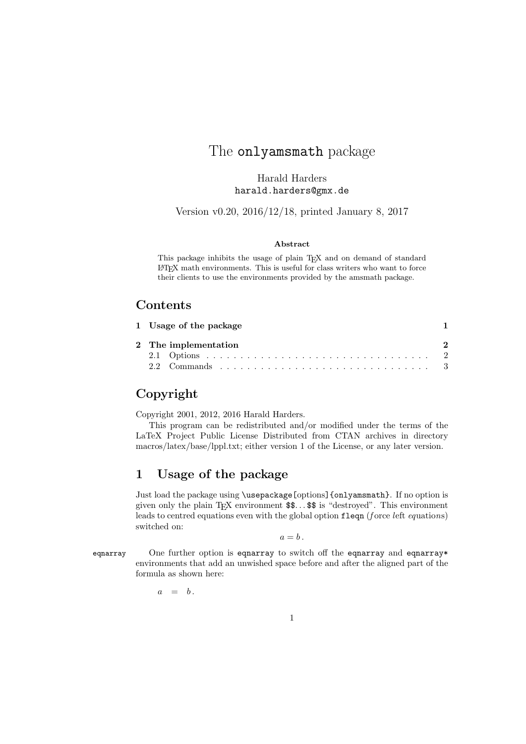# The **onlyamsmath** package

Harald Harders harald.harders@gmx.de

Version v0.20, 2016/12/18, printed January 8, 2017

### Abstract

This package inhibits the usage of plain TFX and on demand of standard LATEX math environments. This is useful for class writers who want to force their clients to use the environments provided by the amsmath package.

## Contents

|  | 1 Usage of the package                                                                                                            |  |
|--|-----------------------------------------------------------------------------------------------------------------------------------|--|
|  | 2 The implementation                                                                                                              |  |
|  |                                                                                                                                   |  |
|  | 2.2 Commands $\ldots$ $\ldots$ $\ldots$ $\ldots$ $\ldots$ $\ldots$ $\ldots$ $\ldots$ $\ldots$ $\ldots$ $\ldots$ $\ldots$ $\ddots$ |  |

# Copyright

Copyright 2001, 2012, 2016 Harald Harders.

This program can be redistributed and/or modified under the terms of the LaTeX Project Public License Distributed from CTAN archives in directory macros/latex/base/lppl.txt; either version 1 of the License, or any later version.

## 1 Usage of the package

Just load the package using \usepackage[options]{onlyamsmath}. If no option is given only the plain T<sub>E</sub>X environment  $\$\$ .  $\$\$ is "destroyed". This environment leads to centred equations even with the global option fleqn (force left equations) switched on:

 $a = b$ .

eqnarray One further option is eqnarray to switch off the eqnarray and eqnarray\* environments that add an unwished space before and after the aligned part of the formula as shown here:

 $a = b$ .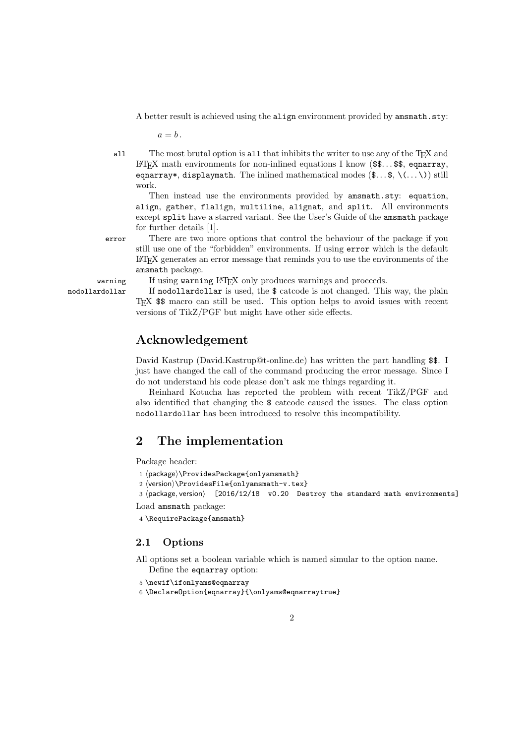A better result is achieved using the align environment provided by amsmath.sty:

 $a = b$ .

all The most brutal option is all that inhibits the writer to use any of the TEX and LATEX math environments for non-inlined equations I know  $(\$\$ math>. \ equarray\*, displaymath. The inlined mathematical modes  $(\mathcal{F} \dots \mathcal{F})$  still work.

Then instead use the environments provided by amsmath.sty: equation, align, gather, flalign, multiline, alignat, and split. All environments except split have a starred variant. See the User's Guide of the amsmath package for further details [1].

error There are two more options that control the behaviour of the package if you still use one of the "forbidden" environments. If using error which is the default LATEX generates an error message that reminds you to use the environments of the amsmath package.

warning If using warning IAT<sub>E</sub>X only produces warnings and proceeds.

nodollardollar If nodollardollar is used, the \$ catcode is not changed. This way, the plain TEX \$\$ macro can still be used. This option helps to avoid issues with recent versions of TikZ/PGF but might have other side effects.

## Acknowledgement

David Kastrup (David.Kastrup@t-online.de) has written the part handling \$\$. I just have changed the call of the command producing the error message. Since I do not understand his code please don't ask me things regarding it.

Reinhard Kotucha has reported the problem with recent TikZ/PGF and also identified that changing the \$ catcode caused the issues. The class option nodollardollar has been introduced to resolve this incompatibility.

## 2 The implementation

Package header:

- 1 (package)\ProvidesPackage{onlyamsmath}
- 2 (version)\ProvidesFile{onlyamsmath-v.tex}

3 (package, version) [2016/12/18 v0.20 Destroy the standard math environments] Load amsmath package:

4 \RequirePackage{amsmath}

### 2.1 Options

All options set a boolean variable which is named simular to the option name. Define the eqnarray option:

5 \newif\ifonlyams@eqnarray

```
6 \DeclareOption{eqnarray}{\onlyams@eqnarraytrue}
```
2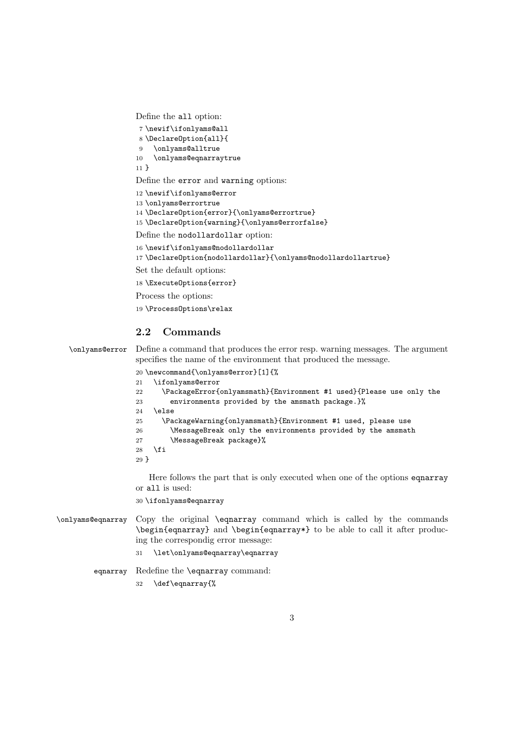Define the all option:

 \newif\ifonlyams@all \DeclareOption{all}{ \onlyams@alltrue \onlyams@eqnarraytrue } Define the error and warning options: \newif\ifonlyams@error \onlyams@errortrue \DeclareOption{error}{\onlyams@errortrue} 15\DeclareOption{warning}{\onlyams@errorfalse} Define the nodollardollar option: \newif\ifonlyams@nodollardollar \DeclareOption{nodollardollar}{\onlyams@nodollardollartrue} Set the default options: \ExecuteOptions{error} Process the options:

\ProcessOptions\relax

## 2.2 Commands

\onlyams@error Define a command that produces the error resp. warning messages. The argument specifies the name of the environment that produced the message.

|                 | 20 \newcommand{\onlyams@error}[1]{%                                 |
|-----------------|---------------------------------------------------------------------|
| 21              | \ifonlyams@error                                                    |
| 22              | \PackageError{onlyamsmath}{Environment #1 used}{Please use only the |
| 23              | environments provided by the amsmath package. }%                    |
| 24              | \else                                                               |
| 25              | \PackageWarning{onlyamsmath}{Environment #1 used, please use        |
| 26              | \MessageBreak only the environments provided by the amsmath         |
| 27              | \MessageBreak package}%                                             |
| 28              | \fi                                                                 |
| 29 <sup>1</sup> |                                                                     |

Here follows the part that is only executed when one of the options eqnarray or all is used:

\ifonlyams@eqnarray

- \onlyams@eqnarray Copy the original \eqnarray command which is called by the commands \begin{eqnarray} and \begin{eqnarray\*} to be able to call it after producing the correspondig error message:
	- \let\onlyams@eqnarray\eqnarray

eqnarray Redefine the \eqnarray command:

\def\eqnarray{%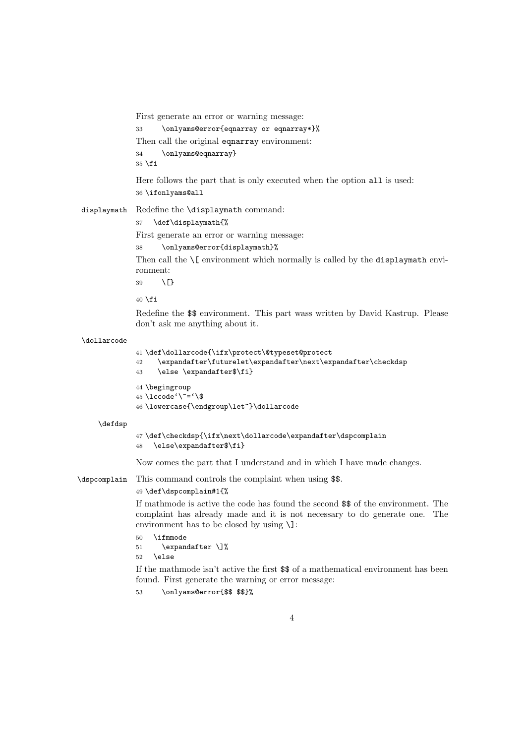First generate an error or warning message:

```
33 \onlyams@error{eqnarray or eqnarray*}%
Then call the original eqnarray environment:
34 \onlyams@eqnarray}
```
 $35$  \fi

Here follows the part that is only executed when the option all is used: 36 \ifonlyams@all

displaymath Redefine the \displaymath command:

### 37 \def\displaymath{%

First generate an error or warning message:

```
38 \onlyams@error{displaymath}%
```
Then call the  $\{$ [ environment which normally is called by the displaymath environment:

 $39 \sqrt{5}$ 

 $40 \setminus fi$ 

Redefine the \$\$ environment. This part wass written by David Kastrup. Please don't ask me anything about it.

#### \dollarcode

```
41 \def\dollarcode{\ifx\protect\@typeset@protect
42 \expandafter\futurelet\expandafter\next\expandafter\checkdsp
43 \else \expandafter$\fi}
```

```
44 \begingroup
45 \text{ lccode'}<sup>-\frac{\text{}}{\text{}}</sup>
46 \lowercase{\endgroup\let~}\dollarcode
```
#### \defdsp

```
47 \def\checkdsp{\ifx\next\dollarcode\expandafter\dspcomplain
48 \else\expandafter$\fi}
```
Now comes the part that I understand and in which I have made changes.

\dspcomplain This command controls the complaint when using \$\$.

### 49 \def\dspcomplain#1{%

If mathmode is active the code has found the second \$\$ of the environment. The complaint has already made and it is not necessary to do generate one. The environment has to be closed by using \]:

```
50 \ifmmode
```

```
51 \expandafter \]%
52 \else
```
If the mathmode isn't active the first \$\$ of a mathematical environment has been found. First generate the warning or error message:

53 \onlyams@error{\$\$ \$\$}%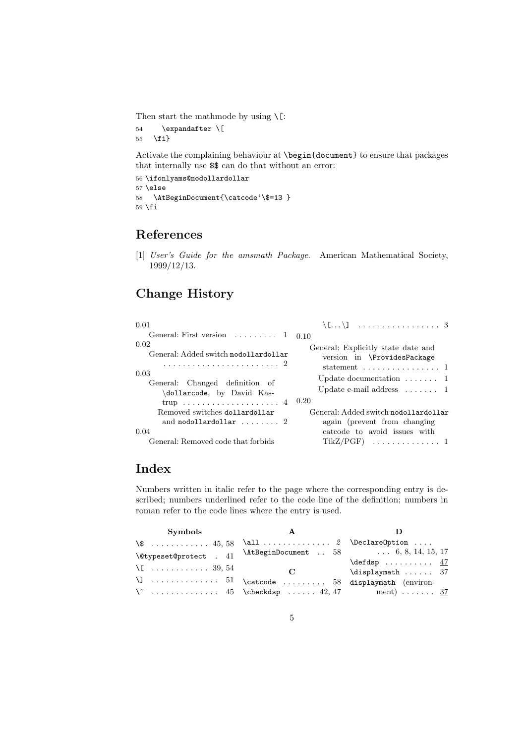Then start the mathmode by using  $\setminus$  [:

54 \expandafter \[ 55 \fi}

Activate the complaining behaviour at \begin{document} to ensure that packages that internally use \$\$ can do that without an error:

```
56 \ifonlyams@nodollardollar
57 \else
58 \AtBeginDocument{\catcode'\$=13 }
59 \fii
```
# References

[1] User's Guide for the amsmath Package. American Mathematical Society, 1999/12/13.

# Change History

| 0.01                                                                                                                                |                                                                                                                                                                                                 |
|-------------------------------------------------------------------------------------------------------------------------------------|-------------------------------------------------------------------------------------------------------------------------------------------------------------------------------------------------|
| General: First version $\dots \dots \dots 1$ 0.10                                                                                   |                                                                                                                                                                                                 |
| 0.02<br>General: Added switch nodollardollar<br>0.03<br>General: Changed definition of<br>dollarcode, by David Kas-<br>trup  4 0.20 | General: Explicitly state date and<br>version in \ProvidesPackage<br>statement $\ldots \ldots \ldots \ldots 1$<br>Update documentation $\dots \dots 1$<br>Update e-mail address $\dots \dots 1$ |
| Removed switches dollardollar<br>and nodollardollar $\ldots \ldots 2$                                                               | General: Added switch nodollardollar<br>again (prevent from changing)                                                                                                                           |
| 0.04<br>General: Removed code that forbids                                                                                          | catcode to avoid issues with                                                                                                                                                                    |

# Index

Numbers written in italic refer to the page where the corresponding entry is described; numbers underlined refer to the code line of the definition; numbers in roman refer to the code lines where the entry is used.

| <b>Symbols</b>         |                                                      |                                        |
|------------------------|------------------------------------------------------|----------------------------------------|
| $\sqrt{\$}$ 45, 58     | $\all$ 2 \DeclareOption                              |                                        |
| \@typeset@protect . 41 |                                                      | \AtBeginDocument  58  6, 8, 14, 15, 17 |
| $\setminus$ [  39, 54  |                                                      | $\defdsp \ldots \ldots 47$             |
|                        | $\mathbf C$                                          | $\displaystyle\bigcup_{i=1}^n$ 37      |
|                        | $\setminus$ ]  51 \catcode  58 displaymath (environ- |                                        |
|                        |                                                      |                                        |